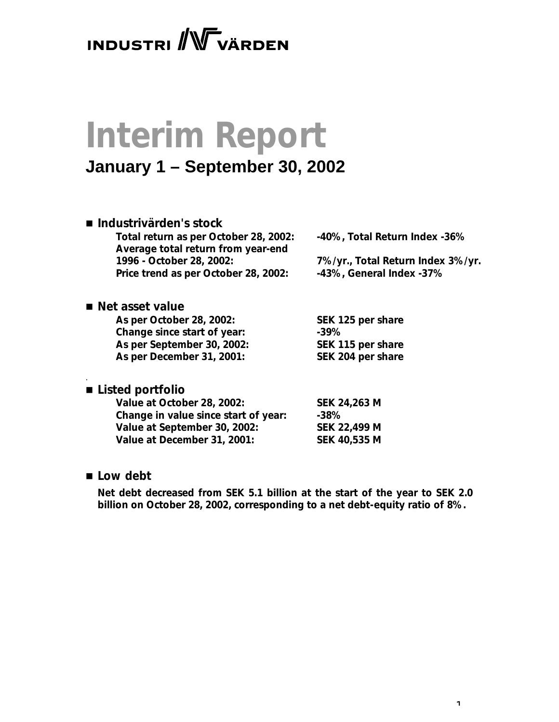# **INDUSTRI** WVÄRDEN

# **Interim Report**

### **January 1 – September 30, 2002**

### ■ *Industrivärden's stock*

**Total return as per October 28, 2002: -40%, Total Return Index -36% Average total return from year-end 1996 - October 28, 2002: 7%/yr., Total Return Index 3%/yr. Price trend as per October 28, 2002: -43%, General Index -37%**

### ■ *Net asset value*

**As per October 28, 2002: SEK 125 per share Change since start of year: -39% As per September 30, 2002: SEK 115 per share As per December 31, 2001: SEK 204 per share**

### *.* ■ *Listed portfolio*

| SEK 24,263 M        |
|---------------------|
| $-38\%$             |
| SEK 22,499 M        |
| <b>SEK 40,535 M</b> |
|                     |

### ■ *Low debt*

*Net debt decreased from SEK 5.1 billion at the start of the year to SEK 2.0 billion on October 28, 2002, corresponding to a net debt-equity ratio of 8%.*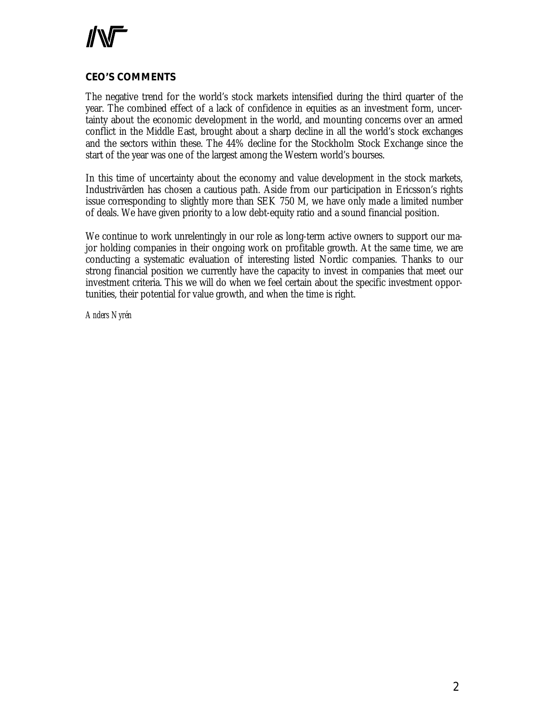

### **CEO'S COMMENTS**

The negative trend for the world's stock markets intensified during the third quarter of the year. The combined effect of a lack of confidence in equities as an investment form, uncertainty about the economic development in the world, and mounting concerns over an armed conflict in the Middle East, brought about a sharp decline in all the world's stock exchanges and the sectors within these. The 44% decline for the Stockholm Stock Exchange since the start of the year was one of the largest among the Western world's bourses.

In this time of uncertainty about the economy and value development in the stock markets, Industrivärden has chosen a cautious path. Aside from our participation in Ericsson's rights issue corresponding to slightly more than SEK 750 M, we have only made a limited number of deals. We have given priority to a low debt-equity ratio and a sound financial position.

We continue to work unrelentingly in our role as long-term active owners to support our major holding companies in their ongoing work on profitable growth. At the same time, we are conducting a systematic evaluation of interesting listed Nordic companies. Thanks to our strong financial position we currently have the capacity to invest in companies that meet our investment criteria. This we will do when we feel certain about the specific investment opportunities, their potential for value growth, and when the time is right.

*Anders Nyrén*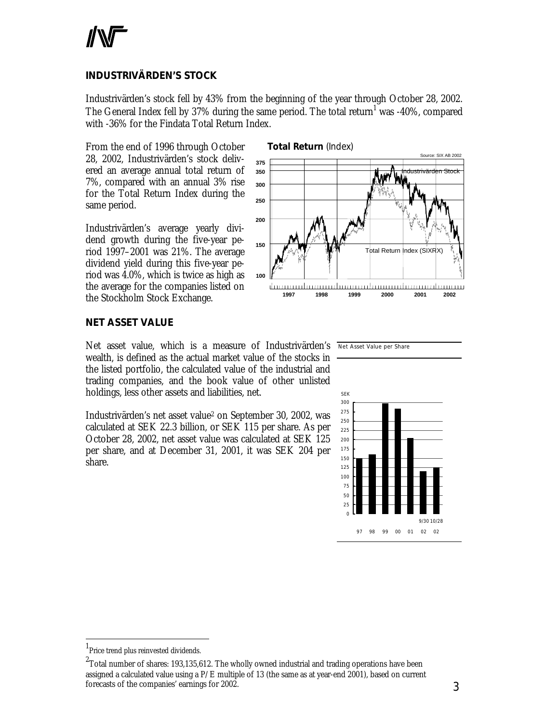### **INDUSTRIVÄRDEN'S STOCK**

Industrivärden's stock fell by 43% from the beginning of the year through October 28, 2002. The General Index fell by 37% during the same period. The total return $^1$  was -40%, compared with -36% for the Findata Total Return Index.

From the end of 1996 through October 28, 2002, Industrivärden's stock delivered an average annual total return of 7%, compared with an annual 3% rise for the Total Return Index during the same period.

Industrivärden's average yearly dividend growth during the five-year period 1997–2001 was 21%. The average dividend yield during this five-year period was 4.0%, which is twice as high as the average for the companies listed on the Stockholm Stock Exchange.



### **NET ASSET VALUE**

Net asset value, which is a measure of Industrivärden's Net Asset Value per Share wealth, is defined as the actual market value of the stocks in the listed portfolio, the calculated value of the industrial and trading companies, and the book value of other unlisted holdings, less other assets and liabilities, net.

Industrivärden's net asset value<sup>2</sup> on September 30, 2002, was calculated at SEK 22.3 billion, or SEK 115 per share. As per October 28, 2002, net asset value was calculated at SEK 125 per share, and at December 31, 2001, it was SEK 204 per share.





l

<sup>&</sup>lt;sup>1</sup>Price trend plus reinvested dividends.

 $^{\rm 2}$ Total number of shares: 193,135,612. The wholly owned industrial and trading operations have been assigned a calculated value using a  $P/E$  multiple of 13 (the same as at year-end 2001), based on current forecasts of the companies' earnings for 2002.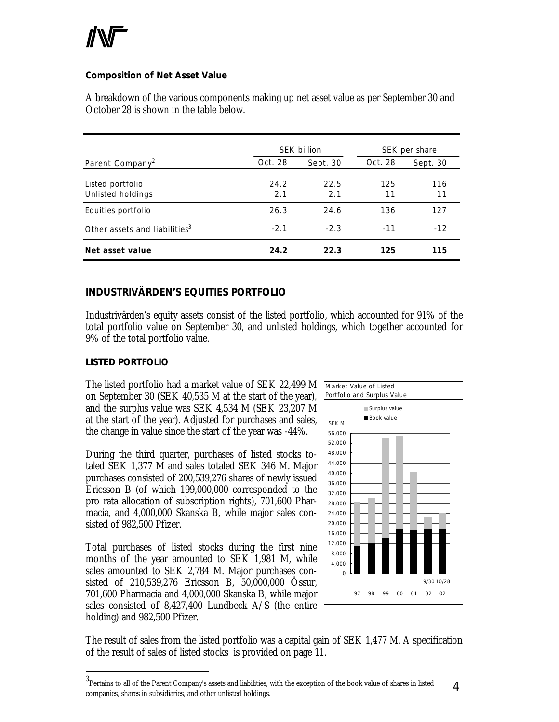### **Composition of Net Asset Value**

A breakdown of the various components making up net asset value as per September 30 and October 28 is shown in the table below.

|                                           | <b>SEK billion</b> |             | SEK per share |           |
|-------------------------------------------|--------------------|-------------|---------------|-----------|
| Parent Company <sup>2</sup>               | Oct. 28            | Sept. 30    | Oct. 28       | Sept. 30  |
| Listed portfolio<br>Unlisted holdings     | 24.2<br>2.1        | 22.5<br>2.1 | 125<br>11     | 116<br>11 |
| Equities portfolio                        | 26.3               | 24.6        | 136           | 127       |
| Other assets and liabilities <sup>3</sup> | $-2.1$             | $-2.3$      | $-11$         | $-12$     |
| Net asset value                           | 24.2               | 22.3        | 125           | 115       |

### **INDUSTRIVÄRDEN'S EQUITIES PORTFOLIO**

Industrivärden's equity assets consist of the listed portfolio, which accounted for 91% of the total portfolio value on September 30, and unlisted holdings, which together accounted for 9% of the total portfolio value.

### *LISTED PORTFOLIO*

 $\overline{a}$ 

The listed portfolio had a market value of SEK 22,499 M on September 30 (SEK 40,535 M at the start of the year), and the surplus value was SEK 4,534 M (SEK 23,207 M at the start of the year). Adjusted for purchases and sales, the change in value since the start of the year was -44%.

During the third quarter, purchases of listed stocks totaled SEK 1,377 M and sales totaled SEK 346 M. Major purchases consisted of 200,539,276 shares of newly issued Ericsson B (of which 199,000,000 corresponded to the pro rata allocation of subscription rights), 701,600 Pharmacia, and 4,000,000 Skanska B, while major sales consisted of 982,500 Pfizer.

Total purchases of listed stocks during the first nine months of the year amounted to SEK 1,981 M, while sales amounted to SEK 2,784 M. Major purchases consisted of 210,539,276 Ericsson B, 50,000,000 Össur, 701,600 Pharmacia and 4,000,000 Skanska B, while major sales consisted of 8,427,400 Lundbeck A/S (the entire holding) and 982,500 Pfizer.



The result of sales from the listed portfolio was a capital gain of SEK 1,477 M. A specification of the result of sales of listed stocks is provided on page 11.

<sup>4</sup>  $^3$ Pertains to all of the Parent Company's assets and liabilities, with the exception of the book value of shares in listed companies, shares in subsidiaries, and other unlisted holdings.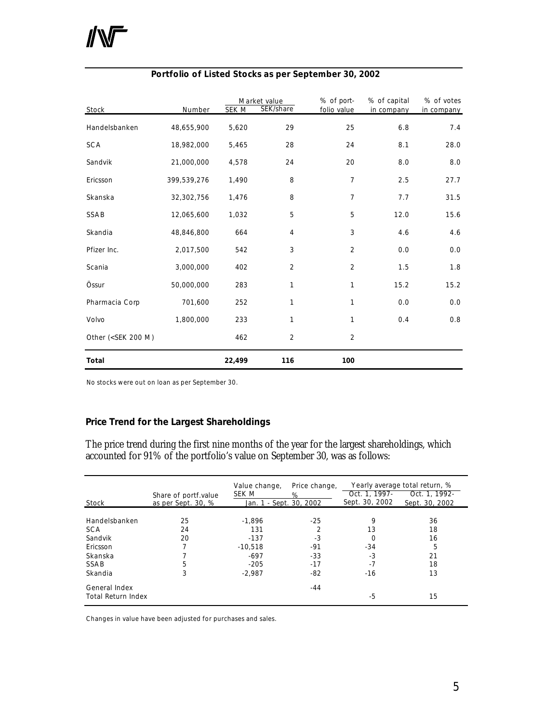| Stock                                                                                                                                              | Number      | SEK M  | Market value<br>SEK/share | % of port-<br>folio value | % of capital<br>in company | % of votes<br>in company |
|----------------------------------------------------------------------------------------------------------------------------------------------------|-------------|--------|---------------------------|---------------------------|----------------------------|--------------------------|
| Handelsbanken                                                                                                                                      | 48,655,900  | 5,620  | 29                        | 25                        | 6.8                        | 7.4                      |
| <b>SCA</b>                                                                                                                                         | 18,982,000  | 5,465  | 28                        | 24                        | 8.1                        | 28.0                     |
| Sandvik                                                                                                                                            | 21,000,000  | 4,578  | 24                        | 20                        | 8.0                        | 8.0                      |
| Ericsson                                                                                                                                           | 399,539,276 | 1,490  | 8                         | $\overline{7}$            | 2.5                        | 27.7                     |
| Skanska                                                                                                                                            | 32,302,756  | 1,476  | 8                         | $\overline{7}$            | 7.7                        | 31.5                     |
| SSAB                                                                                                                                               | 12,065,600  | 1,032  | 5                         | 5                         | 12.0                       | 15.6                     |
| Skandia                                                                                                                                            | 48,846,800  | 664    | 4                         | 3                         | 4.6                        | 4.6                      |
| Pfizer Inc.                                                                                                                                        | 2,017,500   | 542    | 3                         | $\overline{2}$            | 0.0                        | 0.0                      |
| Scania                                                                                                                                             | 3,000,000   | 402    | 2                         | $\overline{2}$            | 1.5                        | 1.8                      |
| Össur                                                                                                                                              | 50,000,000  | 283    | 1                         | 1                         | 15.2                       | 15.2                     |
| Pharmacia Corp                                                                                                                                     | 701,600     | 252    | 1                         | $\mathbf{1}$              | 0.0                        | 0.0                      |
| Volvo                                                                                                                                              | 1,800,000   | 233    | 1                         | $\mathbf{1}$              | 0.4                        | 0.8                      |
| Other ( <sek 200="" m)<="" td=""><td></td><td>462</td><td><math>\overline{2}</math></td><td><math>\overline{2}</math></td><td></td><td></td></sek> |             | 462    | $\overline{2}$            | $\overline{2}$            |                            |                          |
| Total                                                                                                                                              |             | 22,499 | 116                       | 100                       |                            |                          |

### **Portfolio of Listed Stocks as per September 30, 2002**

No stocks were out on loan as per September 30.

### **Price Trend for the Largest Shareholdings**

The price trend during the first nine months of the year for the largest shareholdings, which accounted for 91% of the portfolio's value on September 30, was as follows:

|                                            | Share of portf.value | Value change,<br>SEK M  | Price change,<br>% | Oct. 1, 1997-  | Yearly average total return, %<br>Oct. 1, 1992- |
|--------------------------------------------|----------------------|-------------------------|--------------------|----------------|-------------------------------------------------|
| Stock                                      | as per Sept. 30, %   | Jan. 1 - Sept. 30, 2002 |                    | Sept. 30, 2002 | Sept. 30, 2002                                  |
| Handelsbanken                              | 25                   | $-1.896$                | $-25$              | 9              | 36                                              |
| <b>SCA</b><br>Sandvik                      | 24<br>20             | 131<br>$-137$           | -3                 | 13<br>$\Omega$ | 18<br>16                                        |
| Ericsson<br>Skanska                        |                      | $-10.518$<br>$-697$     | -91<br>$-33$       | $-34$<br>$-3$  | 5<br>21                                         |
| <b>SSAB</b><br>Skandia                     | 5<br>3               | $-205$<br>$-2.987$      | $-17$<br>$-82$     | $-7$<br>$-16$  | 18<br>13                                        |
| General Index<br><b>Total Return Index</b> |                      |                         | $-44$              | -5             | 15                                              |

Changes in value have been adjusted for purchases and sales.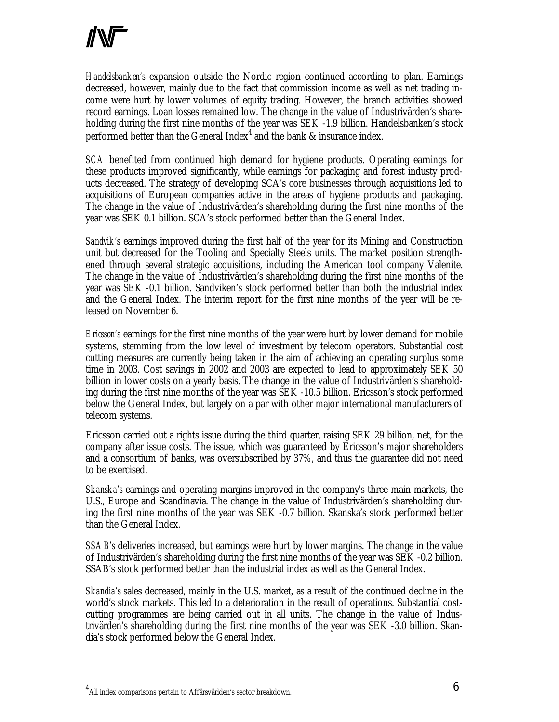*Handelsbanken's* expansion outside the Nordic region continued according to plan. Earnings decreased, however, mainly due to the fact that commission income as well as net trading income were hurt by lower volumes of equity trading. However, the branch activities showed record earnings. Loan losses remained low. The change in the value of Industrivärden's shareholding during the first nine months of the year was SEK -1.9 billion. Handelsbanken's stock performed better than the General Index $^4$  and the bank & insurance index.

*SCA* benefited from continued high demand for hygiene products. Operating earnings for these products improved significantly, while earnings for packaging and forest industy products decreased. The strategy of developing SCA's core businesses through acquisitions led to acquisitions of European companies active in the areas of hygiene products and packaging. The change in the value of Industrivärden's shareholding during the first nine months of the year was SEK 0.1 billion. SCA's stock performed better than the General Index.

*Sandvik's* earnings improved during the first half of the year for its Mining and Construction unit but decreased for the Tooling and Specialty Steels units. The market position strengthened through several strategic acquisitions, including the American tool company Valenite. The change in the value of Industrivärden's shareholding during the first nine months of the year was SEK -0.1 billion. Sandviken's stock performed better than both the industrial index and the General Index. The interim report for the first nine months of the year will be released on November 6.

*Ericsson's* earnings for the first nine months of the year were hurt by lower demand for mobile systems, stemming from the low level of investment by telecom operators. Substantial cost cutting measures are currently being taken in the aim of achieving an operating surplus some time in 2003. Cost savings in 2002 and 2003 are expected to lead to approximately SEK 50 billion in lower costs on a yearly basis. The change in the value of Industrivärden's shareholding during the first nine months of the year was SEK -10.5 billion. Ericsson's stock performed below the General Index, but largely on a par with other major international manufacturers of telecom systems.

Ericsson carried out a rights issue during the third quarter, raising SEK 29 billion, net, for the company after issue costs. The issue, which was guaranteed by Ericsson's major shareholders and a consortium of banks, was oversubscribed by 37%, and thus the guarantee did not need to be exercised.

*Skanska's* earnings and operating margins improved in the company's three main markets, the U.S., Europe and Scandinavia. The change in the value of Industrivärden's shareholding during the first nine months of the year was SEK -0.7 billion. Skanska's stock performed better than the General Index.

*SSAB's* deliveries increased, but earnings were hurt by lower margins. The change in the value of Industrivärden's shareholding during the first nine months of the year was SEK -0.2 billion. SSAB's stock performed better than the industrial index as well as the General Index.

*Skandia's* sales decreased, mainly in the U.S. market, as a result of the continued decline in the world's stock markets. This led to a deterioration in the result of operations. Substantial costcutting programmes are being carried out in all units. The change in the value of Industrivärden's shareholding during the first nine months of the year was SEK -3.0 billion. Skandia's stock performed below the General Index.

 $\overline{a}$ 

 $^4$ All index comparisons pertain to Affärsvärlden's sector breakdown.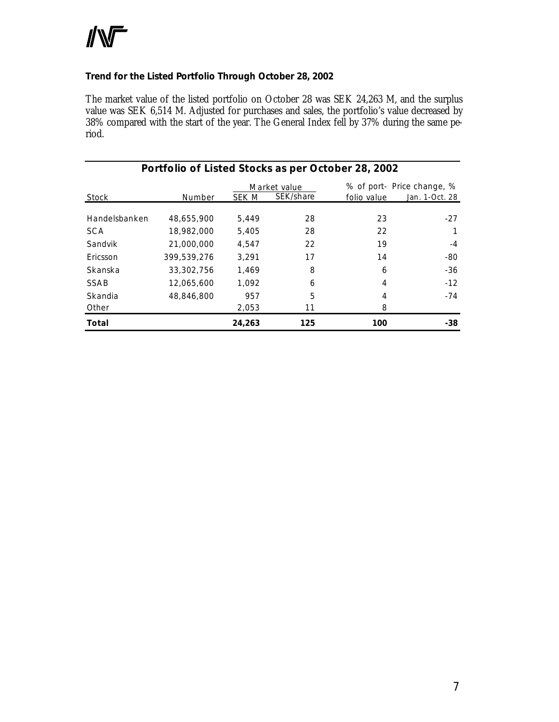# **INT**

### **Trend for the Listed Portfolio Through October 28, 2002**

The market value of the listed portfolio on October 28 was SEK 24,263 M, and the surplus value was SEK 6,514 M. Adjusted for purchases and sales, the portfolio's value decreased by 38% compared with the start of the year. The General Index fell by 37% during the same period.

| Portfolio of Listed Stocks as per October 28, 2002 |             |        |                           |             |                                              |  |  |
|----------------------------------------------------|-------------|--------|---------------------------|-------------|----------------------------------------------|--|--|
| Stock                                              | Number      | SEK M  | Market value<br>SEK/share | folio value | % of port- Price change, %<br>Jan. 1-Oct. 28 |  |  |
|                                                    |             |        |                           |             |                                              |  |  |
| Handelsbanken                                      | 48,655,900  | 5.449  | 28                        | 23          | $-27$                                        |  |  |
| <b>SCA</b>                                         | 18,982,000  | 5,405  | 28                        | 22          |                                              |  |  |
| Sandvik                                            | 21,000,000  | 4.547  | 22                        | 19          | $-4$                                         |  |  |
| Ericsson                                           | 399,539,276 | 3,291  | 17                        | 14          | -80                                          |  |  |
| Skanska                                            | 33,302,756  | 1.469  | 8                         | 6           | -36                                          |  |  |
| SSAB                                               | 12,065,600  | 1.092  | 6                         | 4           | $-12$                                        |  |  |
| Skandia                                            | 48,846,800  | 957    | 5                         | 4           | -74                                          |  |  |
| Other                                              |             | 2,053  | 11                        | 8           |                                              |  |  |
| Total                                              |             | 24,263 | 125                       | 100         | $-38$                                        |  |  |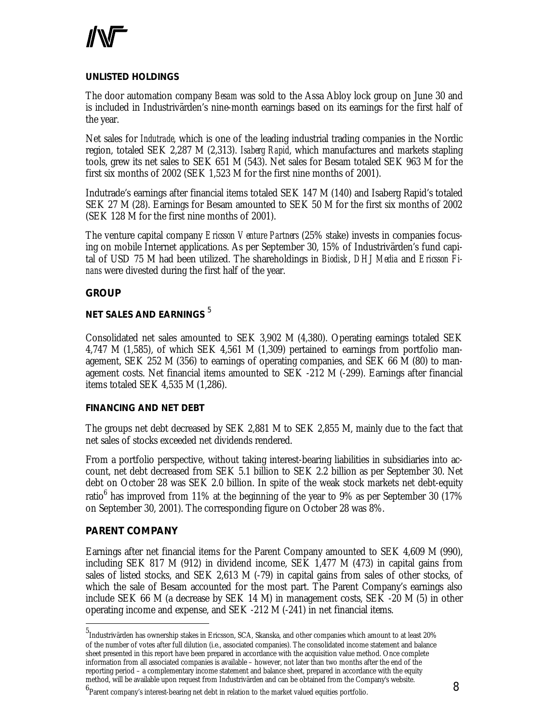### *UNLISTED HOLDINGS*

The door automation company *Besam* was sold to the Assa Abloy lock group on June 30 and is included in Industrivärden's nine-month earnings based on its earnings for the first half of the year.

Net sales for *Indutrade*, which is one of the leading industrial trading companies in the Nordic region, totaled SEK 2,287 M (2,313). *Isaberg Rapid*, which manufactures and markets stapling tools, grew its net sales to SEK 651 M (543). Net sales for Besam totaled SEK 963 M for the first six months of 2002 (SEK 1,523 M for the first nine months of 2001).

Indutrade's earnings after financial items totaled SEK 147 M (140) and Isaberg Rapid's totaled SEK 27 M (28). Earnings for Besam amounted to SEK 50 M for the first six months of 2002 (SEK 128 M for the first nine months of 2001).

The venture capital company *Ericsson Venture Partners* (25% stake) invests in companies focusing on mobile Internet applications. As per September 30, 15% of Industrivärden's fund capital of USD 75 M had been utilized. The shareholdings in *Biodisk*, *DHJ Media* and *Ericsson Finans* were divested during the first half of the year.

### **GROUP**

### *NET SALES AND EARNINGS* <sup>5</sup>

Consolidated net sales amounted to SEK 3,902 M (4,380). Operating earnings totaled SEK 4,747 M (1,585), of which SEK 4,561 M (1,309) pertained to earnings from portfolio management, SEK 252 M (356) to earnings of operating companies, and SEK 66 M (80) to management costs. Net financial items amounted to SEK -212 M (-299). Earnings after financial items totaled SEK 4,535 M (1,286).

### *FINANCING AND NET DEBT*

The groups net debt decreased by SEK 2,881 M to SEK 2,855 M, mainly due to the fact that net sales of stocks exceeded net dividends rendered.

From a portfolio perspective, without taking interest-bearing liabilities in subsidiaries into account, net debt decreased from SEK 5.1 billion to SEK 2.2 billion as per September 30. Net debt on October 28 was SEK 2.0 billion. In spite of the weak stock markets net debt-equity ratio $^6$  has improved from 11% at the beginning of the year to 9% as per September 30 (17%  $\,$ on September 30, 2001). The corresponding figure on October 28 was 8%.

### **PARENT COMPANY**

 $\overline{a}$ 

Earnings after net financial items for the Parent Company amounted to SEK 4,609 M (990), including SEK 817 M (912) in dividend income, SEK 1,477 M (473) in capital gains from sales of listed stocks, and SEK 2,613 M (-79) in capital gains from sales of other stocks, of which the sale of Besam accounted for the most part. The Parent Company's earnings also include SEK 66 M (a decrease by SEK 14 M) in management costs, SEK -20 M (5) in other operating income and expense, and SEK -212 M (-241) in net financial items.

<sup>5</sup> Industrivärden has ownership stakes in Ericsson, SCA, Skanska, and other companies which amount to at least 20% of the number of votes after full dilution (i.e., associated companies). The consolidated income statement and balance sheet presented in this report have been prepared in accordance with the acquisition value method. Once complete information from all associated companies is available – however, not later than two months after the end of the reporting period – a complementary income statement and balance sheet, prepared in accordance with the equity method, will be available upon request from Industrivärden and can be obtained from the Company's website.

 $^6$ Parent company's interest-bearing net debt in relation to the market valued equities portfolio.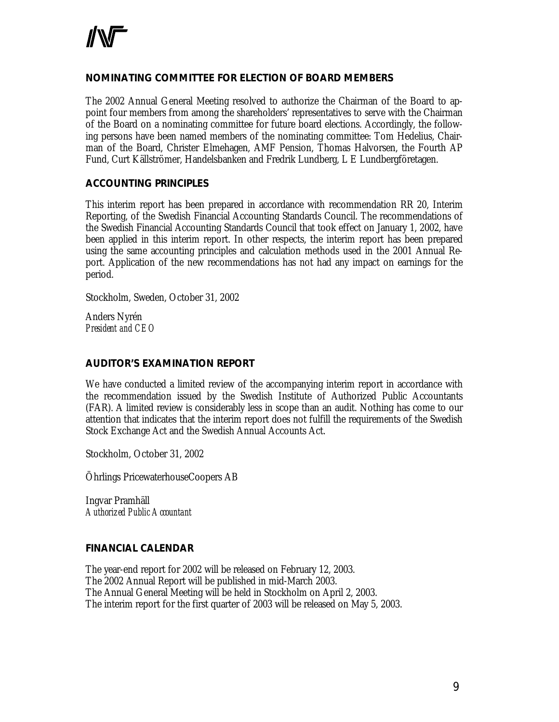### **NOMINATING COMMITTEE FOR ELECTION OF BOARD MEMBERS**

The 2002 Annual General Meeting resolved to authorize the Chairman of the Board to appoint four members from among the shareholders' representatives to serve with the Chairman of the Board on a nominating committee for future board elections. Accordingly, the following persons have been named members of the nominating committee: Tom Hedelius, Chairman of the Board, Christer Elmehagen, AMF Pension, Thomas Halvorsen, the Fourth AP Fund, Curt Källströmer, Handelsbanken and Fredrik Lundberg, L E Lundbergföretagen.

### **ACCOUNTING PRINCIPLES**

This interim report has been prepared in accordance with recommendation RR 20, Interim Reporting, of the Swedish Financial Accounting Standards Council. The recommendations of the Swedish Financial Accounting Standards Council that took effect on January 1, 2002, have been applied in this interim report. In other respects, the interim report has been prepared using the same accounting principles and calculation methods used in the 2001 Annual Report. Application of the new recommendations has not had any impact on earnings for the period.

Stockholm, Sweden, October 31, 2002

Anders Nyrén *President and CEO*

### **AUDITOR'S EXAMINATION REPORT**

We have conducted a limited review of the accompanying interim report in accordance with the recommendation issued by the Swedish Institute of Authorized Public Accountants (FAR). A limited review is considerably less in scope than an audit. Nothing has come to our attention that indicates that the interim report does not fulfill the requirements of the Swedish Stock Exchange Act and the Swedish Annual Accounts Act.

Stockholm, October 31, 2002

Öhrlings PricewaterhouseCoopers AB

Ingvar Pramhäll *Authorized Public Accountant*

### **FINANCIAL CALENDAR**

The year-end report for 2002 will be released on February 12, 2003. The 2002 Annual Report will be published in mid-March 2003. The Annual General Meeting will be held in Stockholm on April 2, 2003. The interim report for the first quarter of 2003 will be released on May 5, 2003.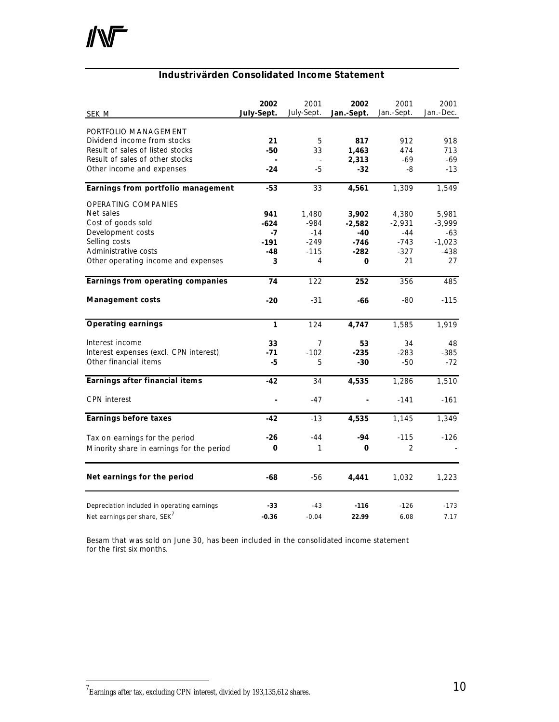### **Industrivärden Consolidated Income Statement**

| <b>SEK M</b>                                                                                                                                                | 2002<br>July-Sept.                          | 2001<br>July-Sept.                                | 2002<br>Jan.-Sept.                                | 2001<br>Jan.-Sept.                                   | 2001<br>Jan.-Dec.                                    |
|-------------------------------------------------------------------------------------------------------------------------------------------------------------|---------------------------------------------|---------------------------------------------------|---------------------------------------------------|------------------------------------------------------|------------------------------------------------------|
| PORTFOLIO MANAGEMENT<br>Dividend income from stocks<br>Result of sales of listed stocks<br>Result of sales of other stocks<br>Other income and expenses     | 21<br>$-50$<br>$-24$                        | 5<br>33<br>$-5$                                   | 817<br>1,463<br>2,313<br>$-32$                    | 912<br>474<br>$-69$<br>-8                            | 918<br>713<br>$-69$<br>$-13$                         |
| Earnings from portfolio management                                                                                                                          | $-53$                                       | 33                                                | 4,561                                             | 1,309                                                | 1,549                                                |
| OPERATING COMPANIES<br>Net sales<br>Cost of goods sold<br>Development costs<br>Selling costs<br>Administrative costs<br>Other operating income and expenses | 941<br>$-624$<br>$-7$<br>$-191$<br>-48<br>3 | 1,480<br>$-984$<br>$-14$<br>$-249$<br>$-115$<br>4 | 3,902<br>$-2,582$<br>-40<br>$-746$<br>$-282$<br>0 | 4,380<br>$-2,931$<br>$-44$<br>$-743$<br>$-327$<br>21 | 5,981<br>$-3,999$<br>-63<br>$-1,023$<br>$-438$<br>27 |
| Earnings from operating companies                                                                                                                           | 74                                          | 122                                               | 252                                               | 356                                                  | 485                                                  |
| <b>Management costs</b>                                                                                                                                     | $-20$                                       | $-31$                                             | -66                                               | $-80$                                                | $-115$                                               |
| <b>Operating earnings</b>                                                                                                                                   | 1                                           | 124                                               | 4,747                                             | 1,585                                                | 1,919                                                |
| Interest income<br>Interest expenses (excl. CPN interest)<br>Other financial items                                                                          | 33<br>$-71$<br>-5                           | 7<br>$-102$<br>5                                  | 53<br>$-235$<br>-30                               | 34<br>$-283$<br>$-50$                                | 48<br>-385<br>$-72$                                  |
| Earnings after financial items                                                                                                                              | $-42$                                       | 34                                                | 4,535                                             | 1,286                                                | 1,510                                                |
| <b>CPN</b> interest                                                                                                                                         |                                             | $-47$                                             |                                                   | $-141$                                               | $-161$                                               |
| <b>Earnings before taxes</b>                                                                                                                                | $-42$                                       | $-13$                                             | 4,535                                             | 1,145                                                | 1,349                                                |
| Tax on earnings for the period<br>Minority share in earnings for the period                                                                                 | $-26$<br>0                                  | $-44$<br>1                                        | -94<br>0                                          | $-115$<br>$\overline{2}$                             | $-126$                                               |
| Net earnings for the period                                                                                                                                 | -68                                         | $-56$                                             | 4,441                                             | 1,032                                                | 1,223                                                |
| Depreciation included in operating earnings<br>Net earnings per share, SEK <sup>7</sup>                                                                     | $-33$<br>$-0.36$                            | $-43$<br>$-0.04$                                  | $-116$<br>22.99                                   | $-126$<br>6.08                                       | $-173$<br>7.17                                       |

*Besam that was sold on June 30, has been included in the consolidated income statement for the first six months.*

 $\overline{a}$ 

 $^7$ Earnings after tax, excluding CPN interest, divided by 193,135,612 shares.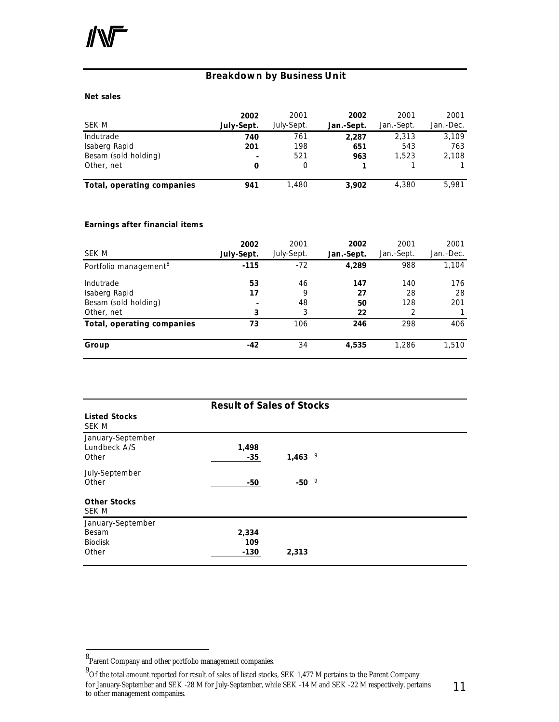### **Breakdown by Business Unit**

### **Net sales**

|                            | 2002                     | 2001       | 2002       | 2001       | 2001      |
|----------------------------|--------------------------|------------|------------|------------|-----------|
| SEK M                      | July-Sept.               | July-Sept. | Jan.-Sept. | Jan.-Sept. | Jan.-Dec. |
| Indutrade                  | 740                      | 761        | 2.287      | 2.313      | 3,109     |
| Isaberg Rapid              | 201                      | 198        | 651        | 543        | 763       |
| Besam (sold holding)       | $\overline{\phantom{0}}$ | 521        | 963        | 1.523      | 2,108     |
| Other, net                 | 0                        |            |            |            |           |
| Total, operating companies | 941                      | 1.480      | 3,902      | 4,380      | 5,981     |

### **Earnings after financial items**

| SEK M                                                            | 2002<br>July-Sept. | 2001<br>July-Sept. | 2002<br>Jan.-Sept.    | 2001<br>Jan.-Sept.    | 2001<br>Jan.-Dec. |
|------------------------------------------------------------------|--------------------|--------------------|-----------------------|-----------------------|-------------------|
| Portfolio management <sup>8</sup>                                | $-115$             | $-72$              | 4,289                 | 988                   | 1,104             |
| Indutrade<br>Isaberg Rapid<br>Besam (sold holding)<br>Other, net | 53<br>17<br>3      | 46<br>9<br>48<br>3 | 147<br>27<br>50<br>22 | 140<br>28<br>128<br>2 | 176<br>28<br>201  |
| Total, operating companies                                       | 73                 | 106                | 246                   | 298                   | 406               |
| Group                                                            | $-42$              | 34                 | 4,535                 | 1,286                 | 1,510             |

| <b>Result of Sales of Stocks</b>                      |                        |            |  |  |
|-------------------------------------------------------|------------------------|------------|--|--|
| <b>Listed Stocks</b><br>SEK M                         |                        |            |  |  |
| January-September<br>Lundbeck A/S<br>Other            | 1,498<br>$-35$         | 9<br>1,463 |  |  |
| July-September<br>Other                               | $-50$                  | 9<br>-50   |  |  |
| <b>Other Stocks</b><br>SEK M                          |                        |            |  |  |
| January-September<br>Besam<br><b>Biodisk</b><br>Other | 2,334<br>109<br>$-130$ | 2,313      |  |  |

 $\overline{a}$ 

<sup>8&</sup>lt;br>Parent Company and other portfolio management companies.

<sup>&</sup>lt;sup>9</sup> Of the total amount reported for result of sales of listed stocks, SEK 1,477 M pertains to the Parent Company for January-September and SEK -28 M for July-September, while SEK -14 M and SEK -22 M respectively, pertains to other management companies.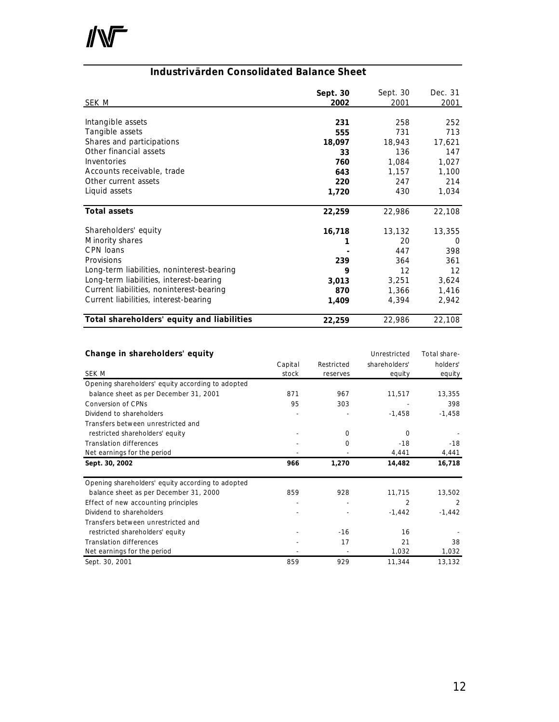

### **Industrivärden Consolidated Balance Sheet**

| SEK M                                      | Sept. 30<br>2002 | Sept. 30<br>2001 | Dec. 31<br>2001   |
|--------------------------------------------|------------------|------------------|-------------------|
|                                            |                  |                  |                   |
| Intangible assets                          | 231              | 258              | 252               |
| Tangible assets                            | 555              | 731              | 713               |
| Shares and participations                  | 18,097           | 18,943           | 17,621            |
| Other financial assets                     | 33               | 136              | 147               |
| Inventories                                | 760              | 1,084            | 1,027             |
| Accounts receivable, trade                 | 643              | 1,157            | 1,100             |
| Other current assets                       | 220              | 247              | 214               |
| Liquid assets                              | 1,720            | 430              | 1,034             |
|                                            |                  |                  |                   |
| <b>Total assets</b>                        | 22,259           | 22,986           | 22,108            |
| Shareholders' equity                       | 16,718           | 13,132           | 13,355            |
| Minority shares                            |                  | 20               | 0                 |
| CPN loans                                  |                  | 447              | 398               |
| Provisions                                 | 239              | 364              | 361               |
| Long-term liabilities, noninterest-bearing | 9                | 12               | $12 \overline{ }$ |
| Long-term liabilities, interest-bearing    | 3,013            | 3,251            | 3,624             |
| Current liabilities, noninterest-bearing   | 870              | 1,366            | 1,416             |
| Current liabilities, interest-bearing      | 1,409            | 4,394            | 2,942             |
|                                            |                  |                  |                   |
| Total shareholders' equity and liabilities | 22,259           | 22,986           | 22,108            |

| Change in shareholders' equity                    |         |            | Unrestricted   | Total share- |
|---------------------------------------------------|---------|------------|----------------|--------------|
|                                                   | Capital | Restricted | shareholders'  | holders'     |
| SEK M                                             | stock   | reserves   | equity         | equity       |
| Opening shareholders' equity according to adopted |         |            |                |              |
| balance sheet as per December 31, 2001            | 871     | 967        | 11,517         | 13,355       |
| <b>Conversion of CPNs</b>                         | 95      | 303        |                | 398          |
| Dividend to shareholders                          |         |            | $-1,458$       | $-1,458$     |
| Transfers between unrestricted and                |         |            |                |              |
| restricted shareholders' equity                   |         | 0          | 0              |              |
| <b>Translation differences</b>                    |         | 0          | $-18$          | $-18$        |
| Net earnings for the period                       |         |            | 4,441          | 4,441        |
| Sept. 30, 2002                                    | 966     | 1,270      | 14,482         | 16,718       |
| Opening shareholders' equity according to adopted |         |            |                |              |
| balance sheet as per December 31, 2000            | 859     | 928        | 11,715         | 13,502       |
| Effect of new accounting principles               | ٠       | ٠          | $\overline{2}$ | 2            |
| Dividend to shareholders                          |         |            | $-1,442$       | $-1,442$     |
| Transfers between unrestricted and                |         |            |                |              |
| restricted shareholders' equity                   |         | $-16$      | 16             |              |
| <b>Translation differences</b>                    |         | 17         | 21             | 38           |
| Net earnings for the period                       |         |            | 1,032          | 1,032        |
| Sept. 30, 2001                                    | 859     | 929        | 11,344         | 13,132       |